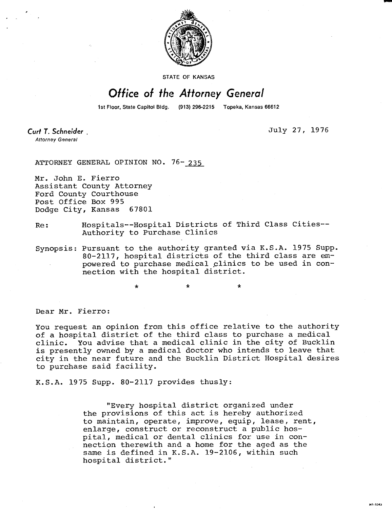

STATE OF KANSAS

## Office of the Attorney General

1st Floor, State Capitol Bldg.

(913) 296-2215 Topeka, Kansas 66612

Curt T. Schneider **Attorney General** 

July 27, 1976

MI-1043

ATTORNEY GENERAL OPINION NO. 76-235

Mr. John E. Fierro Assistant County Attorney Ford County Courthouse Post Office Box 995<br>Dodge City, Kansas 67801 Dodge City, Kansas

## Re: Hospitals--Hospital Districts of Third Class Cities-- Authority to Purchase Clinics

Synopsis: Pursuant to the authority granted via K.S.A. 1975 Supp. 80-2117, hospital districts of the third class are empowered to purchase medical clinics to be used in connection with the hospital district.

Dear Mr. Fierro:

You request an opinion from this office relative to the authority of a hospital district of the third class to purchase a medical clinic. You advise that a medical clinic in the city of Bucklin is presently owned by a medical doctor who intends to leave that city in the near future and the Bucklin District Hospital desires to purchase said facility.

K.S.A. 1975 Supp. 80-2117 provides thusly:

\*

"Every hospital district organized under the provisions of this act is hereby authorized to maintain, operate, improve, equip, lease, rent, enlarge, construct or reconstruct a public hospital, medical or dental clinics for use in connection therewith and a home for the aged as the same is defined in K.S.A. 19-2106, within such hospital district."